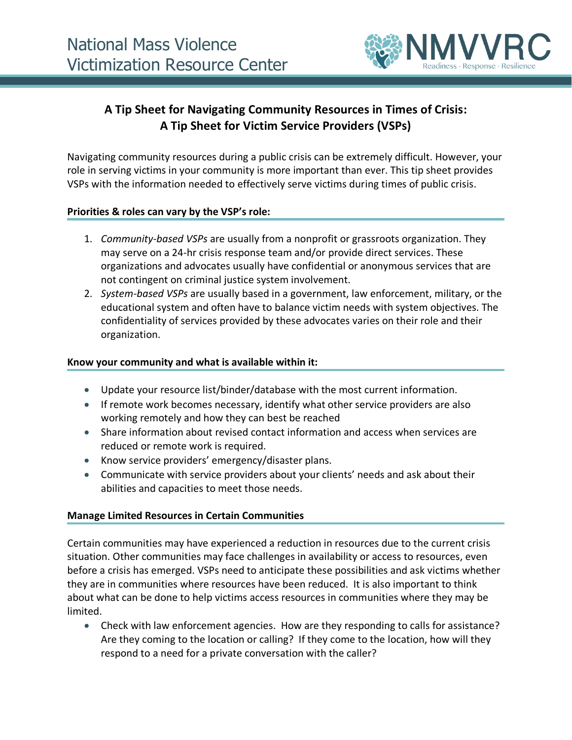

# **A Tip Sheet for Navigating Community Resources in Times of Crisis: A Tip Sheet for Victim Service Providers (VSPs)**

Navigating community resources during a public crisis can be extremely difficult. However, your role in serving victims in your community is more important than ever. This tip sheet provides VSPs with the information needed to effectively serve victims during times of public crisis.

## **Priorities & roles can vary by the VSP's role:**

- 1. *Community-based VSPs* are usually from a nonprofit or grassroots organization. They may serve on a 24-hr crisis response team and/or provide direct services. These organizations and advocates usually have confidential or anonymous services that are not contingent on criminal justice system involvement.
- 2. *System-based VSPs* are usually based in a government, law enforcement, military, or the educational system and often have to balance victim needs with system objectives. The confidentiality of services provided by these advocates varies on their role and their organization.

#### **Know your community and what is available within it:**

- Update your resource list/binder/database with the most current information.
- If remote work becomes necessary, identify what other service providers are also working remotely and how they can best be reached
- Share information about revised contact information and access when services are reduced or remote work is required.
- Know service providers' emergency/disaster plans.
- Communicate with service providers about your clients' needs and ask about their abilities and capacities to meet those needs.

# **Manage Limited Resources in Certain Communities**

Certain communities may have experienced a reduction in resources due to the current crisis situation. Other communities may face challenges in availability or access to resources, even before a crisis has emerged. VSPs need to anticipate these possibilities and ask victims whether they are in communities where resources have been reduced. It is also important to think about what can be done to help victims access resources in communities where they may be limited.

• Check with law enforcement agencies. How are they responding to calls for assistance? Are they coming to the location or calling? If they come to the location, how will they respond to a need for a private conversation with the caller?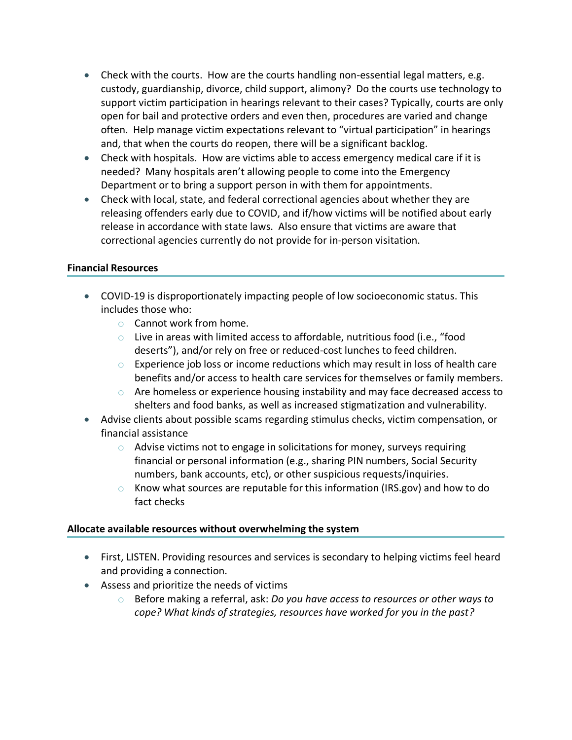- Check with the courts. How are the courts handling non-essential legal matters, e.g. custody, guardianship, divorce, child support, alimony? Do the courts use technology to support victim participation in hearings relevant to their cases? Typically, courts are only open for bail and protective orders and even then, procedures are varied and change often. Help manage victim expectations relevant to "virtual participation" in hearings and, that when the courts do reopen, there will be a significant backlog.
- Check with hospitals. How are victims able to access emergency medical care if it is needed? Many hospitals aren't allowing people to come into the Emergency Department or to bring a support person in with them for appointments.
- Check with local, state, and federal correctional agencies about whether they are releasing offenders early due to COVID, and if/how victims will be notified about early release in accordance with state laws. Also ensure that victims are aware that correctional agencies currently do not provide for in-person visitation.

## **Financial Resources**

- COVID-19 is disproportionately impacting people of low socioeconomic status. This includes those who:
	- o Cannot work from home.
	- o Live in areas with limited access to affordable, nutritious food (i.e., "food deserts"), and/or rely on free or reduced-cost lunches to feed children.
	- $\circ$  Experience job loss or income reductions which may result in loss of health care benefits and/or access to health care services for themselves or family members.
	- $\circ$  Are homeless or experience housing instability and may face decreased access to shelters and food banks, as well as increased stigmatization and vulnerability.
- Advise clients about possible scams regarding stimulus checks, victim compensation, or financial assistance
	- o Advise victims not to engage in solicitations for money, surveys requiring financial or personal information (e.g., sharing PIN numbers, Social Security numbers, bank accounts, etc), or other suspicious requests/inquiries.
	- o Know what sources are reputable for this information (IRS.gov) and how to do fact checks

#### **Allocate available resources without overwhelming the system**

- First, LISTEN. Providing resources and services is secondary to helping victims feel heard and providing a connection.
- Assess and prioritize the needs of victims
	- o Before making a referral, ask: *Do you have access to resources or other ways to cope? What kinds of strategies, resources have worked for you in the past?*